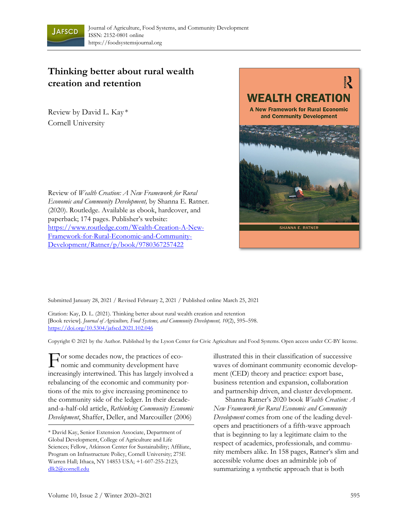

## **Thinking better about rural wealth creation and retention**

Review by David L. Kay \* Cornell University





Submitted January 28, 2021 / Revised February 2, 2021 / Published online March 25, 2021

Citation: Kay, D. L. (2021). Thinking better about rural wealth creation and retention [Book review]. *Journal of Agriculture, Food Systems, and Community Development, 10*(2), 595–598. https://doi.org/10.5304/jafscd.2021.102.046

Copyright © 2021 by the Author. Published by the Lyson Center for Civic Agriculture and Food Systems. Open access under CC-BY license.

For some decades now, the practices of eco-<br>nomic and community development have nomic and community development have increasingly intertwined. This has largely involved a rebalancing of the economic and community portions of the mix to give increasing prominence to the community side of the ledger. In their decadeand-a-half-old article, *Rethinking Community Economic Development*, Shaffer, Deller, and Marcouiller (2006)

illustrated this in their classification of successive waves of dominant community economic development (CED) theory and practice: export base, business retention and expansion, collaboration and partnership driven, and cluster development.

 Shanna Ratner's 2020 book *Wealth Creation: A New Framework for Rural Economic and Community Development* comes from one of the leading developers and practitioners of a fifth-wave approach that is beginning to lay a legitimate claim to the respect of academics, professionals, and community members alike. In 158 pages, Ratner's slim and accessible volume does an admirable job of summarizing a synthetic approach that is both

<sup>\*</sup> David Kay, Senior Extension Associate, Department of Global Development, College of Agriculture and Life Sciences; Fellow, Atkinson Center for Sustainability; Affiliate, Program on Infrastructure Policy, Cornell University; 275E Warren Hall; Ithaca, NY 14853 USA; +1-607-255-2123; dlk2@cornell.edu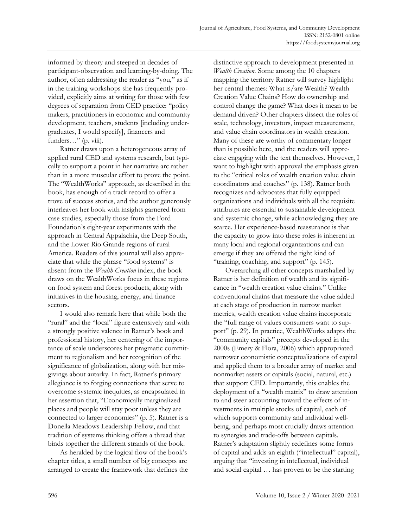informed by theory and steeped in decades of participant-observation and learning-by-doing. The author, often addressing the reader as "you," as if in the training workshops she has frequently provided, explicitly aims at writing for those with few degrees of separation from CED practice: "policy makers, practitioners in economic and community development, teachers, students [including undergraduates, I would specify], financers and funders..." (p. viii).

 Ratner draws upon a heterogeneous array of applied rural CED and systems research, but typically to support a point in her narrative arc rather than in a more muscular effort to prove the point. The "WealthWorks" approach, as described in the book, has enough of a track record to offer a trove of success stories, and the author generously interleaves her book with insights garnered from case studies, especially those from the Ford Foundation's eight-year experiments with the approach in Central Appalachia, the Deep South, and the Lower Rio Grande regions of rural America. Readers of this journal will also appreciate that while the phrase "food systems" is absent from the *Wealth Creation* index, the book draws on the WealthWorks focus in these regions on food system and forest products, along with initiatives in the housing, energy, and finance sectors.

 I would also remark here that while both the "rural" and the "local" figure extensively and with a strongly positive valence in Ratner's book and professional history, her centering of the importance of scale underscores her pragmatic commitment to regionalism and her recognition of the significance of globalization, along with her misgivings about autarky. In fact, Ratner's primary allegiance is to forging connections that serve to overcome systemic inequities, as encapsulated in her assertion that, "Economically marginalized places and people will stay poor unless they are connected to larger economies" (p. 5). Ratner is a Donella Meadows Leadership Fellow, and that tradition of systems thinking offers a thread that binds together the different strands of the book.

 As heralded by the logical flow of the book's chapter titles, a small number of big concepts are arranged to create the framework that defines the distinctive approach to development presented in *Wealth Creation.* Some among the 10 chapters mapping the territory Ratner will survey highlight her central themes: What is/are Wealth? Wealth Creation Value Chains? How do ownership and control change the game? What does it mean to be demand driven? Other chapters dissect the roles of scale, technology, investors, impact measurement, and value chain coordinators in wealth creation. Many of these are worthy of commentary longer than is possible here, and the readers will appreciate engaging with the text themselves. However, I want to highlight with approval the emphasis given to the "critical roles of wealth creation value chain coordinators and coaches" (p. 138). Ratner both recognizes and advocates that fully equipped organizations and individuals with all the requisite attributes are essential to sustainable development and systemic change, while acknowledging they are scarce. Her experience-based reassurance is that the capacity to grow into these roles is inherent in many local and regional organizations and can emerge if they are offered the right kind of "training, coaching, and support" (p. 145).

 Overarching all other concepts marshalled by Ratner is her definition of wealth and its significance in "wealth creation value chains." Unlike conventional chains that measure the value added at each stage of production in narrow market metrics, wealth creation value chains incorporate the "full range of values consumers want to support" (p. 29). In practice, WealthWorks adapts the "community capitals" precepts developed in the 2000s (Emery & Flora, 2006) which appropriated narrower economistic conceptualizations of capital and applied them to a broader array of market and nonmarket assets or capitals (social, natural, etc.) that support CED. Importantly, this enables the deployment of a "wealth matrix" to draw attention to and steer accounting toward the effects of investments in multiple stocks of capital, each of which supports community and individual wellbeing, and perhaps most crucially draws attention to synergies and trade-offs between capitals. Ratner's adaptation slightly redefines some forms of capital and adds an eighth ("intellectual" capital), arguing that "investing in intellectual, individual and social capital … has proven to be the starting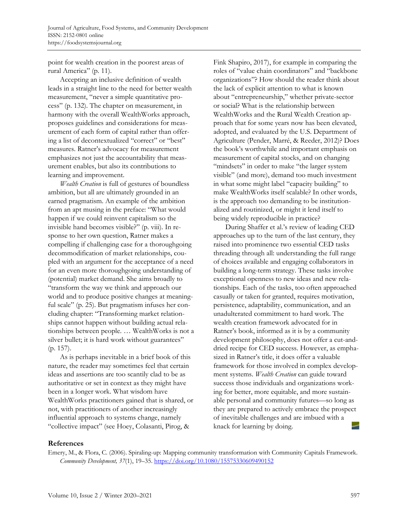point for wealth creation in the poorest areas of rural America" (p. 11).

 Accepting an inclusive definition of wealth leads in a straight line to the need for better wealth measurement, "never a simple quantitative process" (p. 132). The chapter on measurement, in harmony with the overall WealthWorks approach, proposes guidelines and considerations for measurement of each form of capital rather than offering a list of decontextualized "correct" or "best" measures. Ratner's advocacy for measurement emphasizes not just the accountability that measurement enables, but also its contributions to learning and improvement.

*Wealth Creation* is full of gestures of boundless ambition, but all are ultimately grounded in an earned pragmatism. An example of the ambition from an apt musing in the preface: "What would happen if we could reinvent capitalism so the invisible hand becomes visible?" (p. viii). In response to her own question, Ratner makes a compelling if challenging case for a thoroughgoing decommodification of market relationships, coupled with an argument for the acceptance of a need for an even more thoroughgoing understanding of (potential) market demand. She aims broadly to "transform the way we think and approach our world and to produce positive changes at meaningful scale" (p. 25). But pragmatism infuses her concluding chapter: "Transforming market relationships cannot happen without building actual relationships between people. … WealthWorks is not a silver bullet; it is hard work without guarantees" (p. 157).

 As is perhaps inevitable in a brief book of this nature, the reader may sometimes feel that certain ideas and assertions are too scantily clad to be as authoritative or set in context as they might have been in a longer work. What wisdom have WealthWorks practitioners gained that is shared, or not, with practitioners of another increasingly influential approach to systems change, namely "collective impact" (see Hoey, Colasanti, Pirog, &

Fink Shapiro, 2017), for example in comparing the roles of "value chain coordinators" and "backbone organizations"? How should the reader think about the lack of explicit attention to what is known about "entrepreneurship," whether private-sector or social? What is the relationship between WealthWorks and the Rural Wealth Creation approach that for some years now has been elevated, adopted, and evaluated by the U.S. Department of Agriculture (Pender, Marré, & Reeder, 2012)? Does the book's worthwhile and important emphasis on measurement of capital stocks, and on changing "mindsets" in order to make "the larger system visible" (and more), demand too much investment in what some might label "capacity building" to make WealthWorks itself scalable? In other words, is the approach too demanding to be institutionalized and routinized, or might it lend itself to being widely reproducible in practice?

 During Shaffer et al.'s review of leading CED approaches up to the turn of the last century, they raised into prominence two essential CED tasks threading through all: understanding the full range of choices available and engaging collaborators in building a long-term strategy. These tasks involve exceptional openness to new ideas and new relationships. Each of the tasks, too often approached casually or taken for granted, requires motivation, persistence, adaptability, communication, and an unadulterated commitment to hard work. The wealth creation framework advocated for in Ratner's book, informed as it is by a community development philosophy, does not offer a cut-anddried recipe for CED success. However, as emphasized in Ratner's title, it does offer a valuable framework for those involved in complex development systems. *Wealth Creation* can guide toward success those individuals and organizations working for better, more equitable, and more sustainable personal and community futures—so long as they are prepared to actively embrace the prospect of inevitable challenges and are imbued with a knack for learning by doing.

## **References**

Emery, M., & Flora, C. (2006). Spiraling-up: Mapping community transformation with Community Capitals Framework. *Community Development, 37*(1), 19–35. https://doi.org/10.1080/15575330609490152